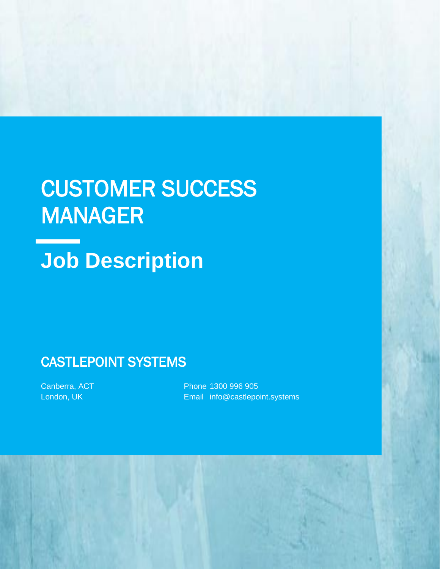# CUSTOMER SUCCESS MANAGER

# **Job Description**

## CASTLEPOINT SYSTEMS

Canberra, ACT London, UK

Phone 1300 996 905 Email info@castlepoint.systems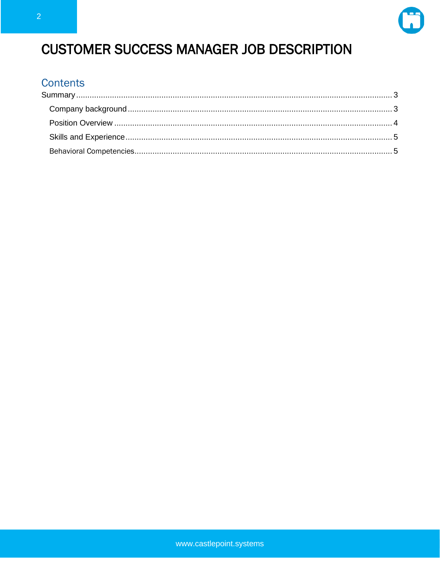

# **CUSTOMER SUCCESS MANAGER JOB DESCRIPTION**

#### **Contents**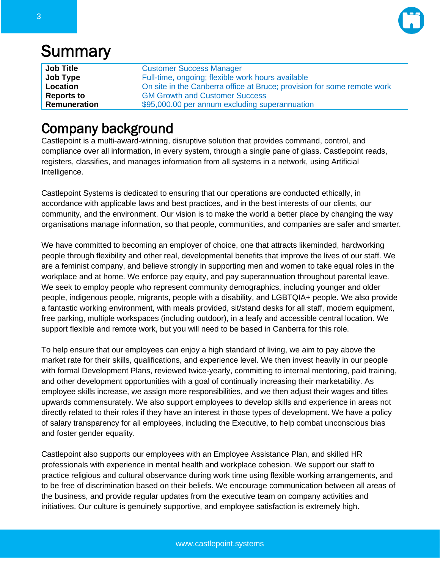

# <span id="page-2-0"></span>**Summary**

| <b>Job Title</b>  | <b>Customer Success Manager</b>                                         |
|-------------------|-------------------------------------------------------------------------|
| Job Type          | Full-time, ongoing; flexible work hours available                       |
| Location          | On site in the Canberra office at Bruce; provision for some remote work |
| <b>Reports to</b> | <b>GM Growth and Customer Success</b>                                   |
| Remuneration      | \$95,000.00 per annum excluding superannuation                          |

### <span id="page-2-1"></span>Company background

Castlepoint is a multi-award-winning, disruptive solution that provides command, control, and compliance over all information, in every system, through a single pane of glass. Castlepoint reads, registers, classifies, and manages information from all systems in a network, using Artificial Intelligence.

Castlepoint Systems is dedicated to ensuring that our operations are conducted ethically, in accordance with applicable laws and best practices, and in the best interests of our clients, our community, and the environment. Our vision is to make the world a better place by changing the way organisations manage information, so that people, communities, and companies are safer and smarter.

We have committed to becoming an employer of choice, one that attracts likeminded, hardworking people through flexibility and other real, developmental benefits that improve the lives of our staff. We are a feminist company, and believe strongly in supporting men and women to take equal roles in the workplace and at home. We enforce pay equity, and pay superannuation throughout parental leave. We seek to employ people who represent community demographics, including younger and older people, indigenous people, migrants, people with a disability, and LGBTQIA+ people. We also provide a fantastic working environment, with meals provided, sit/stand desks for all staff, modern equipment, free parking, multiple workspaces (including outdoor), in a leafy and accessible central location. We support flexible and remote work, but you will need to be based in Canberra for this role.

To help ensure that our employees can enjoy a high standard of living, we aim to pay above the market rate for their skills, qualifications, and experience level. We then invest heavily in our people with formal Development Plans, reviewed twice-yearly, committing to internal mentoring, paid training, and other development opportunities with a goal of continually increasing their marketability. As employee skills increase, we assign more responsibilities, and we then adjust their wages and titles upwards commensurately. We also support employees to develop skills and experience in areas not directly related to their roles if they have an interest in those types of development. We have a policy of salary transparency for all employees, including the Executive, to help combat unconscious bias and foster gender equality.

Castlepoint also supports our employees with an Employee Assistance Plan, and skilled HR professionals with experience in mental health and workplace cohesion. We support our staff to practice religious and cultural observance during work time using flexible working arrangements, and to be free of discrimination based on their beliefs. We encourage communication between all areas of the business, and provide regular updates from the executive team on company activities and initiatives. Our culture is genuinely supportive, and employee satisfaction is extremely high.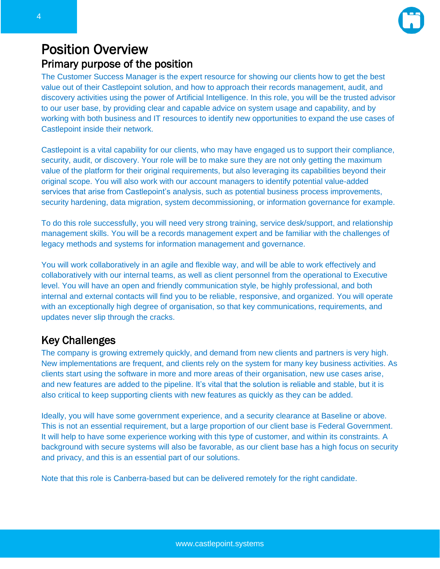

#### <span id="page-3-0"></span>Position Overview Primary purpose of the position

The Customer Success Manager is the expert resource for showing our clients how to get the best value out of their Castlepoint solution, and how to approach their records management, audit, and discovery activities using the power of Artificial Intelligence. In this role, you will be the trusted advisor to our user base, by providing clear and capable advice on system usage and capability, and by working with both business and IT resources to identify new opportunities to expand the use cases of Castlepoint inside their network.

Castlepoint is a vital capability for our clients, who may have engaged us to support their compliance, security, audit, or discovery. Your role will be to make sure they are not only getting the maximum value of the platform for their original requirements, but also leveraging its capabilities beyond their original scope. You will also work with our account managers to identify potential value-added services that arise from Castlepoint's analysis, such as potential business process improvements, security hardening, data migration, system decommissioning, or information governance for example.

To do this role successfully, you will need very strong training, service desk/support, and relationship management skills. You will be a records management expert and be familiar with the challenges of legacy methods and systems for information management and governance.

You will work collaboratively in an agile and flexible way, and will be able to work effectively and collaboratively with our internal teams, as well as client personnel from the operational to Executive level. You will have an open and friendly communication style, be highly professional, and both internal and external contacts will find you to be reliable, responsive, and organized. You will operate with an exceptionally high degree of organisation, so that key communications, requirements, and updates never slip through the cracks.

#### Key Challenges

The company is growing extremely quickly, and demand from new clients and partners is very high. New implementations are frequent, and clients rely on the system for many key business activities. As clients start using the software in more and more areas of their organisation, new use cases arise, and new features are added to the pipeline. It's vital that the solution is reliable and stable, but it is also critical to keep supporting clients with new features as quickly as they can be added.

Ideally, you will have some government experience, and a security clearance at Baseline or above. This is not an essential requirement, but a large proportion of our client base is Federal Government. It will help to have some experience working with this type of customer, and within its constraints. A background with secure systems will also be favorable, as our client base has a high focus on security and privacy, and this is an essential part of our solutions.

Note that this role is Canberra-based but can be delivered remotely for the right candidate.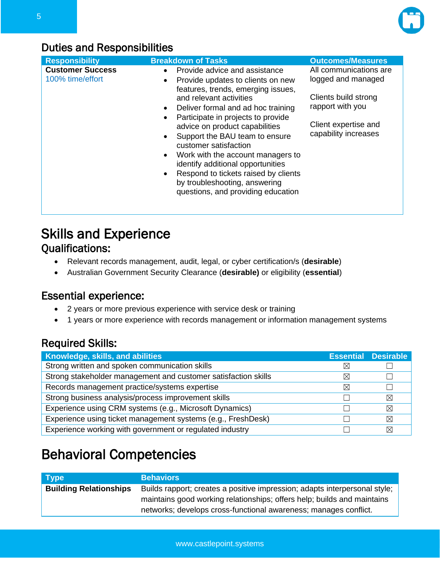

#### Duties and Responsibilities

| <b>Responsibility</b>                       | <b>Breakdown of Tasks</b>                                                                                                                                                                                                                                                                                                                                                                                                                                                                                                                                 | <b>Outcomes/Measures</b>                                                                                                                 |
|---------------------------------------------|-----------------------------------------------------------------------------------------------------------------------------------------------------------------------------------------------------------------------------------------------------------------------------------------------------------------------------------------------------------------------------------------------------------------------------------------------------------------------------------------------------------------------------------------------------------|------------------------------------------------------------------------------------------------------------------------------------------|
| <b>Customer Success</b><br>100% time/effort | Provide advice and assistance<br>$\bullet$<br>Provide updates to clients on new<br>$\bullet$<br>features, trends, emerging issues,<br>and relevant activities<br>Deliver formal and ad hoc training<br>$\bullet$<br>Participate in projects to provide<br>advice on product capabilities<br>Support the BAU team to ensure<br>customer satisfaction<br>Work with the account managers to<br>$\bullet$<br>identify additional opportunities<br>Respond to tickets raised by clients<br>by troubleshooting, answering<br>questions, and providing education | All communications are<br>logged and managed<br>Clients build strong<br>rapport with you<br>Client expertise and<br>capability increases |

### <span id="page-4-0"></span>Skills and Experience Qualifications:

- Relevant records management, audit, legal, or cyber certification/s (**desirable**)
- Australian Government Security Clearance (**desirable)** or eligibility (**essential**)

#### Essential experience:

- 2 years or more previous experience with service desk or training
- 1 years or more experience with records management or information management systems

#### Required Skills:

| Knowledge, skills, and abilities                                  |             | <b>Essential Desirable</b> |
|-------------------------------------------------------------------|-------------|----------------------------|
| Strong written and spoken communication skills                    | ⋉           |                            |
| Strong stakeholder management and customer satisfaction skills    | $\boxtimes$ |                            |
| Records management practice/systems expertise                     | $\boxtimes$ |                            |
| Strong business analysis/process improvement skills               |             | $\boxtimes$                |
| Experience using CRM systems (e.g., Microsoft Dynamics)           |             | ⊠                          |
| Experience using ticket management systems (e.g., FreshDesk)<br>⊠ |             |                            |
| Experience working with government or regulated industry          |             | ⊠                          |

# <span id="page-4-1"></span>Behavioral Competencies

| <b>Type</b>                   | <b>Behaviors</b>                                                           |
|-------------------------------|----------------------------------------------------------------------------|
| <b>Building Relationships</b> | Builds rapport; creates a positive impression; adapts interpersonal style; |
|                               | maintains good working relationships; offers help; builds and maintains    |
|                               | networks; develops cross-functional awareness; manages conflict.           |